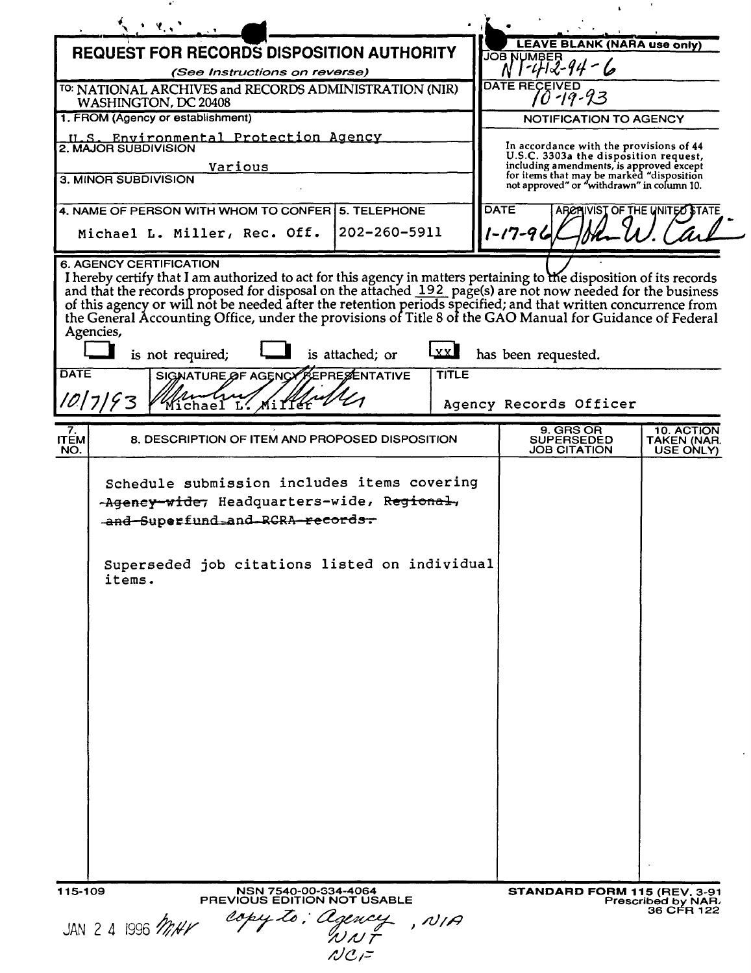| $\mathcal{P}_{\mathbf{r},\mathbf{r}}$                                                                                                                                                                                                                                                                                                                                                                                                                                                                                                                                                                                                                            |                                                                                                                              |
|------------------------------------------------------------------------------------------------------------------------------------------------------------------------------------------------------------------------------------------------------------------------------------------------------------------------------------------------------------------------------------------------------------------------------------------------------------------------------------------------------------------------------------------------------------------------------------------------------------------------------------------------------------------|------------------------------------------------------------------------------------------------------------------------------|
| <b>REQUEST FOR RECORDS DISPOSITION AUTHORITY</b>                                                                                                                                                                                                                                                                                                                                                                                                                                                                                                                                                                                                                 | LEAVE BLANK (NARA use only)<br><b>JOB NUMBER</b>                                                                             |
| (See Instructions on reverse)                                                                                                                                                                                                                                                                                                                                                                                                                                                                                                                                                                                                                                    | -472-44                                                                                                                      |
| TO: NATIONAL ARCHIVES and RECORDS ADMINISTRATION (NIR)<br>WASHINGTON, DC 20408                                                                                                                                                                                                                                                                                                                                                                                                                                                                                                                                                                                   | <b>DATE RECEIVED</b><br>'0 -19-23                                                                                            |
| 1. FROM (Agency or establishment)                                                                                                                                                                                                                                                                                                                                                                                                                                                                                                                                                                                                                                | NOTIFICATION TO AGENCY                                                                                                       |
| U.S. Environmental Protection Agency<br>2. MAJOR SUBDIVISION<br>Various                                                                                                                                                                                                                                                                                                                                                                                                                                                                                                                                                                                          | In accordance with the provisions of 44<br>U.S.C. 3303a the disposition request,<br>including amendments, is approved except |
| 3. MINOR SUBDIVISION                                                                                                                                                                                                                                                                                                                                                                                                                                                                                                                                                                                                                                             | for items that may be marked "disposition<br>not approved" or "withdrawn" in column 10.                                      |
| 4. NAME OF PERSON WITH WHOM TO CONFER<br><b>5. TELEPHONE</b>                                                                                                                                                                                                                                                                                                                                                                                                                                                                                                                                                                                                     | <b>DATE</b><br>ARCRIVIST OF THE UNITED STATE                                                                                 |
| 202-260-5911<br>Michael L. Miller, Rec. Off.                                                                                                                                                                                                                                                                                                                                                                                                                                                                                                                                                                                                                     | 1-17-96                                                                                                                      |
| I hereby certify that I am authorized to act for this agency in matters pertaining to the disposition of its records<br>and that the records proposed for disposal on the attached 192 page(s) are not now needed for the business<br>of this agency or will not be needed after the retention periods specified; and that written concurrence from<br>the General Accounting Office, under the provisions of Title 8 of the GAO Manual for Guidance of Federal<br>Agencies,<br>$\mathbf{xx}$<br>is not required;<br>is attached; or<br><b>DATE</b><br>TITLE<br>SIGNATURE OF AGENCY PEPRESENTATIVE<br>10 7 93<br>Mi II CE<br>$\mathop{\rm ichae}\nolimits\Gamma$ | has been requested.<br>Agency Records Officer                                                                                |
|                                                                                                                                                                                                                                                                                                                                                                                                                                                                                                                                                                                                                                                                  |                                                                                                                              |
| $T_{EM}^{7}$<br>8. DESCRIPTION OF ITEM AND PROPOSED DISPOSITION<br>NO.                                                                                                                                                                                                                                                                                                                                                                                                                                                                                                                                                                                           | 9. GRS OR<br>10. ACTION<br><b>SUPERSEDED</b><br>TAKEN (NAR.<br>JOB CITATION<br>USE ONLY)                                     |
| Schedule submission includes items covering<br>-Ageney-wide, Headquarters-wide, Regional,<br>-and-Superfund-and-RCRA-records-<br>Superseded job citations listed on individual<br>items.                                                                                                                                                                                                                                                                                                                                                                                                                                                                         |                                                                                                                              |
| 115-109<br>NSN 7540-00-334-4064<br><b>PREVIOUS EDITION NOT USABLE</b>                                                                                                                                                                                                                                                                                                                                                                                                                                                                                                                                                                                            | STANDARD FORM 115 (REV. 3-91<br>Prescribed by NAR.                                                                           |
| copy to: Agency<br>, N/A<br>JAN 2 4 1996 MHV<br>WNT<br>$NCI$ =                                                                                                                                                                                                                                                                                                                                                                                                                                                                                                                                                                                                   | 36 CFR 122                                                                                                                   |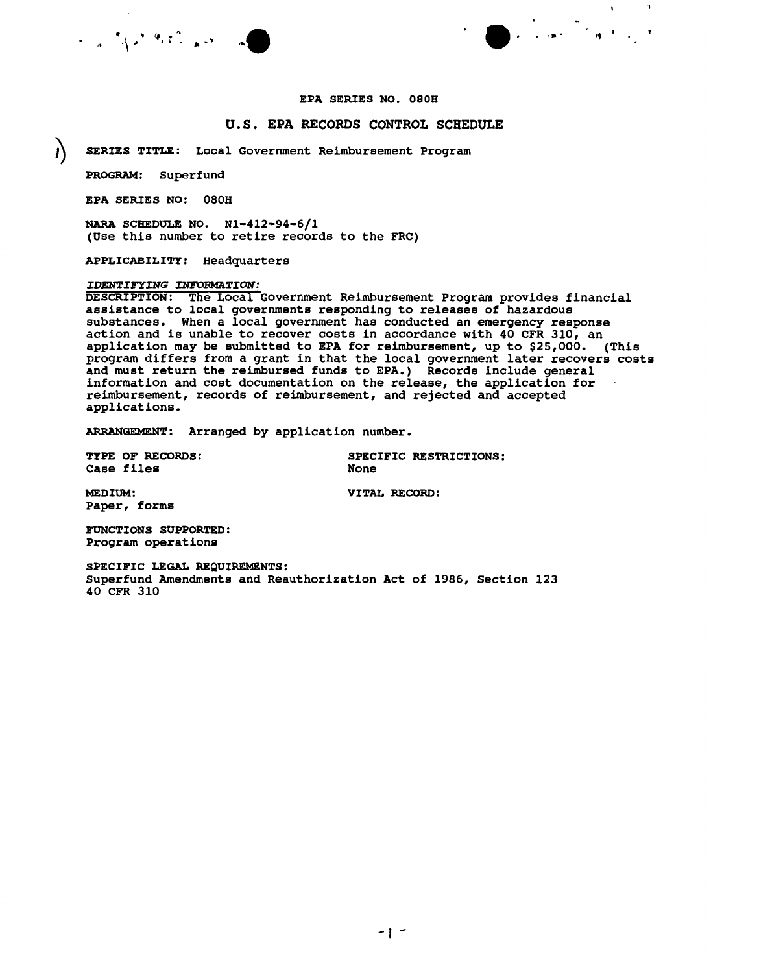

'I

 $\mathbf{A}$ 

#### EPA SERIES NO. 0808

#### u. S. EPA RECORDS CONTROL SCHEDULE

) SERIES TITLE: Local Government Reimbursement Program

PROGRAM: Superfund

EPA SERIES NO: 080H

NARA SCHEDULE NO. N1-412-94-6/1 (Use this number to retire records to the FRC)

APPLICABILITY: Headquarters

#### *IDENTIFYING INFORMATION:*

DESCRIPTION: The Local Government Reimbursement Program provides financial assistance to local governments responding to releases of hazardous substances. When a local government has conducted an emergency response action and is unable to recover costs in accordance with 40 CFR 310, an application may be submitted to EPA for reimbursement, up to \$25,000. (This program differs from a grant in that the local government later recovers costs and must return the reimbursed funds to EPA.) Records include general information and cost documentation on the release, the application for reimbursement, records of reimbursement, and rejected and accepted applications.

ARRANGEMENT: Arranged by application number.

Case files

TYPE OF RECORDS: SPECIFIC RESTRICTIONS: **None** 

MEDIUM: VITAL RECORD: Paper, forms

FUNCTIONS SUPPORTED: Program operations

SPECIFIC LEGAL REQUIREMENTS: Superfund Amendments and Reauthorization Act of 1986, Section 123 40 CFR 310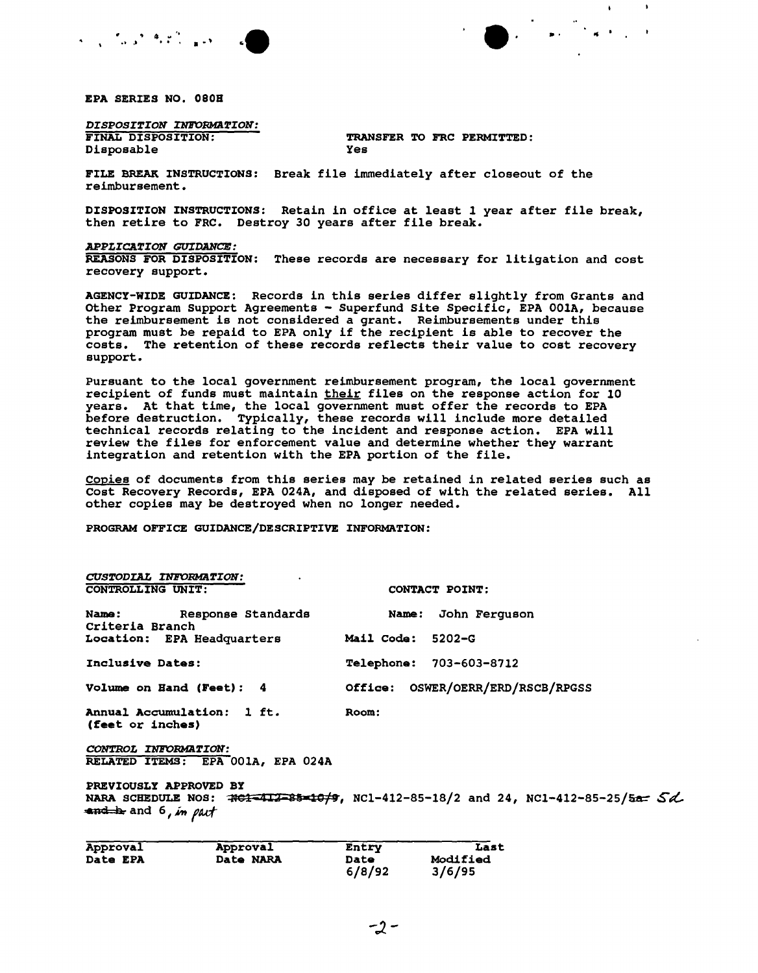

EPA SERIES NO. 080H

*DISPOSITION INFORMaTION:* Disposable

TRANSFER TO FRC PERMITTED:<br>Yes

 $\mathbf{A}$ 

FILE BREAK INSTRUCTIONS: Break file immediately after closeout of the reimbursement.

DISPOSITION INSTRUCTIONS: Retain in office at least 1year after file break, then retire to FRC. Destroy 30 years after file break.

*APPLICATION GUIDANCE:*

REASONS FOR DISPOSITION: These records are necessary for litigation and cost recovery support.

AGENCY-WIDE GUIDANCE: Records in this series differ slightly from Grants and other Program support Agreements - Superfund site Specific, EPA OOlA, because the reimbursement is not considered a grant. Reimbursements under this program must be repaid to EPA only if the recipient is able to recover the costs. The retention of these records reflects their value to cost recovery support.

Pursuant to the local government reimbursement program, the local government recipient of funds must maintain their files on the response action for 10 years. At that time, the local government must offer the records to EPA before destruction. Typically, these records will include more detailed technical records relating to the incident and response action. EPA will review the files for enforcement value and determine whether they warrant integration and retention with the EPA portion of the file.

Copies of documents from this series may be retained in related series such as Cost Recovery Records, EPA 024A, and disposed of with the related series. All other copies may be destroyed when no longer needed.

PROGRAM OFFICE GUIDANCE/DESCRIPTIVE INFORMATION:

| CUSTODIAL INFORMATION:                                    |                                                                                  |
|-----------------------------------------------------------|----------------------------------------------------------------------------------|
| <b>CONTROLLING UNIT:</b>                                  | CONTACT POINT:                                                                   |
| Name: Response Standards<br>Criteria Branch               | Name: John Ferquson                                                              |
| <b>Location: EPA Headquarters</b>                         | Mail Code: 5202-G                                                                |
| Inclusive Dates:                                          | <b>Telephone: 703-603-8712</b>                                                   |
| Volume on Hand (Feet): 4                                  | Office: OSWER/OERR/ERD/RSCB/RPGSS                                                |
| Annual Accumulation: 1 ft.<br>(feet or inches)            | Room:                                                                            |
| CONTROL INFORMATION:<br>RELATED ITEMS: EPA 001A, EPA 024A |                                                                                  |
| PREVIOUSLY APPROVED BY<br>and be and 6, in part           | NARA SCHEDULE NOS: #61-412-85-10/9, NC1-412-85-18/2 and 24, NC1-412-85-25/5a- Sd |
| Approval<br>Approval                                      | Last<br>Entry                                                                    |

| Approval        | Approval  | Entry       | Last            |
|-----------------|-----------|-------------|-----------------|
| <b>Date EPA</b> | Date NARA | <b>Date</b> | <b>Modified</b> |
|                 |           | 6/8/92      | 3/6/95          |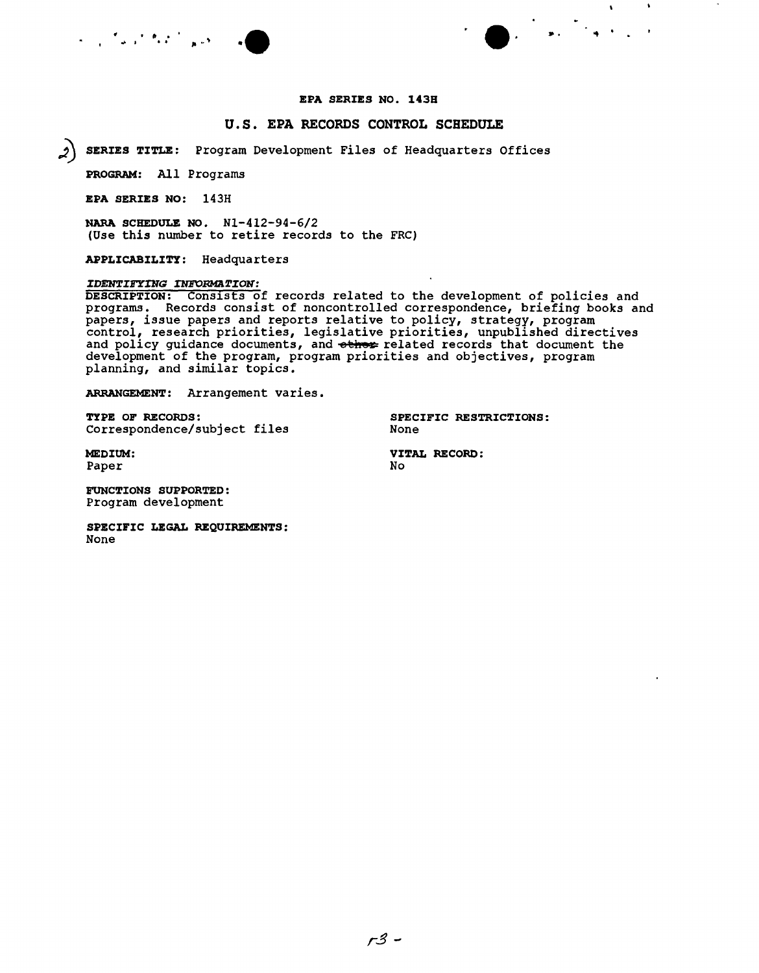

### U.s. EPA RECORDS CONTROL SCHEDULE

• It • .. **·e** e'

SERIES TITLE: Program Development Files of Headquarters Offices

PROGRAM: All Programs

EPA SERIES NO: 143H

NARA SCHEDULE NO. Nl-412-94-6/2 (Use this number to retire records to the FRC)

APPLICABILITY: Headquarters

#### *IDENTIFYING INFORMATION:*

DESCRIPTION: Consists of records related to the development of policies and programs. Records consist of noncontrolled correspondence, briefing books and papers, issue papers and reports relative to policy, strategy, program control, research priorities, legislative priorities, unpublished directives and policy guidance documents, and other related records that document the development of the program, program priorities and objectives, program planning, and similar topics.

ARRANGEMENT: Arrangement varies.

TYPE OF RECORDS: SPECIFIC RESTRICTIONS: Correspondence/subject files

None

 $\Lambda$  .

Paper

MEDIUM: VITAL RECORD:  $N<sub>O</sub>$ 

FUNCTIONS SUPPORTED: Program development

SPECIFIC LEGAL REQUIREMENTS: None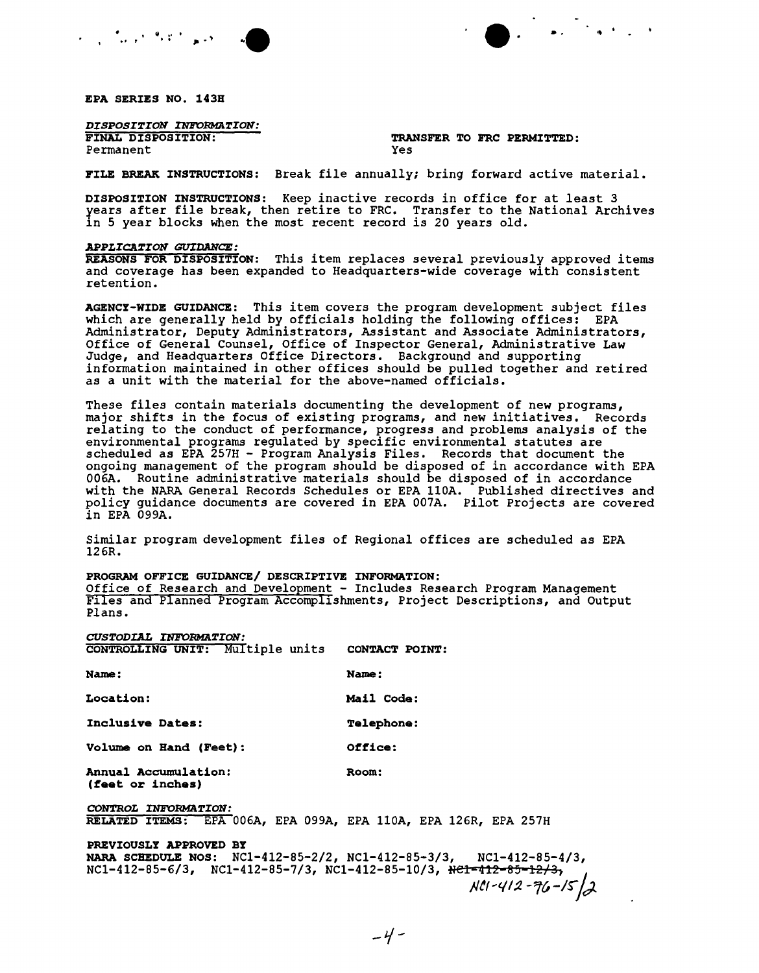



EPA SERIES NO. 143B

*DISPOSITION INFORMATION:*<br>FINAL DISPOSITION: Permanent

TRANSFER TO FRC PERMITTED:<br>Yes

FILE BREAK INSTRUCTIONS: Break file annually; bring forward active material.

DISPOSITION INSTRUCTIONS: Keep inactive records *in* office for at least 3 years after file break, then retire to FRC. Transfer to the National Archives in 5 year blocks when the most recent record *is* 20 years old.

#### *APPLICATION GUIDANCE:*

REASONS FOR DISPOSITION: This item replaces several previously approved items and coverage has been expanded to Headquarters-wide coverage with consistent retention.

AGENCY-WIDE GUIDANCE: This item covers the program development subject files which are generally held by officials holding the following offices: EPA Administrator, Deputy Administrators, Assistant and Associate Administrators, Office of General Counsel, Office of Inspector General, Administrative Law Judge, and Headquarters Office Directors. Background and supporting information maintained *in* other offices should be pulled together and retired as a unit with the material for the above-named officials.

These files contain materials documenting the development of new programs, major shifts *in* the focus of existing programs, and new initiatives. Records relating to the conduct of performance, progress and problems analysis of the environmental programs regulated by specific environmental statutes are scheduled as EPA 257H - Program Analysis Files. Records that document the ongoing management of the program should be disposed of in accordance with EPA 006A. Routine administrative materials should be disposed of in accordance with the NARA General Records Schedules or EPA 110A. Published directives and policy guidance documents are covered *in* EPA 007A. pilot Projects are covered *in* EPA 099A.

Similar program development files of Regional offices are scheduled as EPA I26R.

#### PROGRAM OFFICE GUIDANCE/ DESCRIPTIVE INFORMATION:

Office of Research and Development - Includes Research Program Management Files and Planned Program Accomplishments, Project Descriptions, and Output Plans.

| CUSTODIAL INFORMATION:                                                                                                                                                        |                   |
|-------------------------------------------------------------------------------------------------------------------------------------------------------------------------------|-------------------|
| CONTROLLING UNIT: Multiple units CONTACT POINT:                                                                                                                               |                   |
| Name:                                                                                                                                                                         | Name:             |
| Location:                                                                                                                                                                     | <b>Mail Code:</b> |
| Inclusive Dates:                                                                                                                                                              | <b>Telephone:</b> |
| Volume on Hand (Feet):                                                                                                                                                        | Office:           |
| Annual Accumulation:<br>(feet or inches)                                                                                                                                      | Room:             |
| CONTROL INFORMATION:<br>RELATED ITEMS: EPA 006A, EPA 099A, EPA 110A, EPA 126R, EPA 257H                                                                                       |                   |
| PREVIOUSLY APPROVED BY<br>NARA SCHEDULE NOS: NC1-412-85-2/2, NC1-412-85-3/3, NC1-412-85-4/3,<br>$NC1-412-85-6/3$ , $NC1-412-85-7/3$ , $NC1-412-85-10/3$ , $Rc1=412-85-12/3$ , |                   |

*}Jtl''II:2 -1C,-IS"jd-.*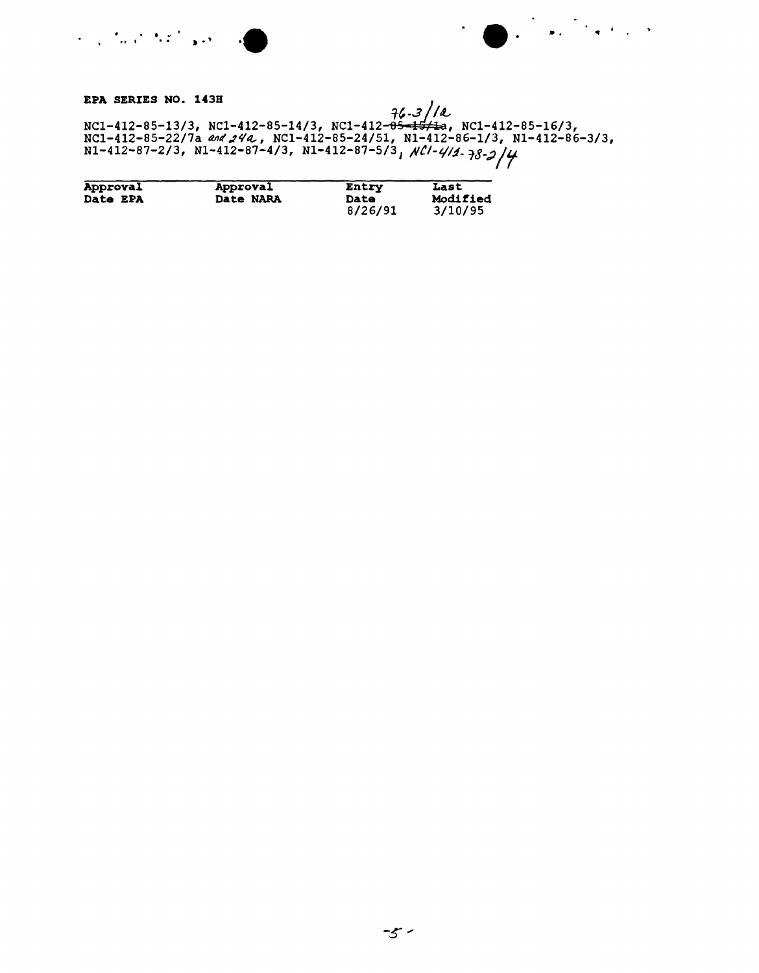EPA SERIES NO. 143H<br>
NC1-412-85-13/3, NC1-412-85-14/3, NC1-412-<del>85-15/1</del>a, NC1-412-85-16/3,<br>
NC1-412-85-22/7a and 24a, NC1-412-85-24/51, N1-412-86-1/3, N1-412-86-3/3,<br>
N1-412-87-2/3, N1-412-87-4/3, N1-412-87-5/3, NCl-4/4.

| Approval        | Approval  | Entry       | Last     |
|-----------------|-----------|-------------|----------|
| <b>Date EPA</b> | Date NARA | <b>Date</b> | Modified |
|                 |           | 8/26/91     | 3/10/95  |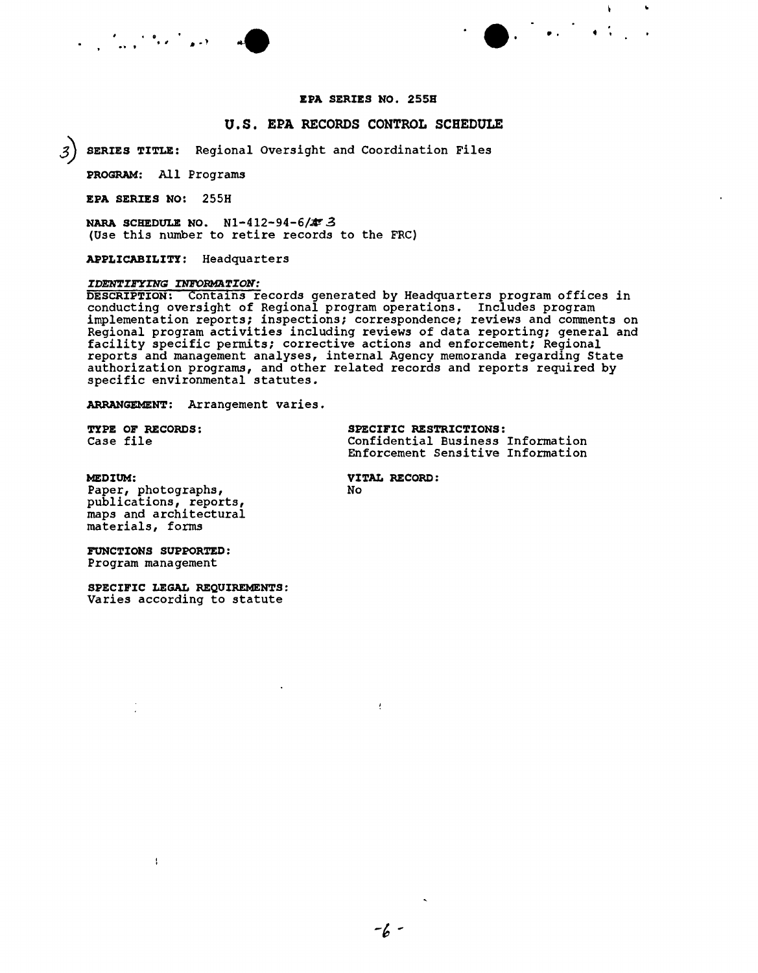

### U.S. EPA RECORDS CONTROL SCHEDULE

3) SERIES TITLE: Regional Oversight and Coordination Files

PROGRAM: All Programs

EPA SERIES NO: 255H

NARA SCHEDULE NO. N1-412-94-6/ $\neq$  3 (Use this number to retire records to the FRC)

APPLICABILITY: Headquarters

#### *IDEN'rIHTING INrORMA~ION:*

DESCRIPTION: Conta~ns records generated by Headquarters program offices *in* conducting oversight of Regional program operations. Includes program implementation reports; inspections; correspondence; reviews and comments on Regional program activities including reviews of data reporting; general and facility specific permits; corrective actions and enforcement; Regional reports and management analyses, internal Agency memoranda regarding State authorization programs, and other related records and reports required by specific environmental statutes.

ARRANGEMENT: Arrangement varies.

TYPE OF RECORDS: SPECIFIC RESTRICTIONS:<br>
Case file<br>
Confidential Business Confidential Business Information Enforcement Sensitive Information

MEDIUM: VITAL RECORD:<br>Paper, photographs, Wo Paper, photographs, publications, reports, maps and architectural materials, forms

FUNCTIONS SUPPORTED: Program management

 $\mathbf{I}$ 

SPECIFIC LEGAL REQUIREMENTS: Varies according to statute

 $\overline{t}$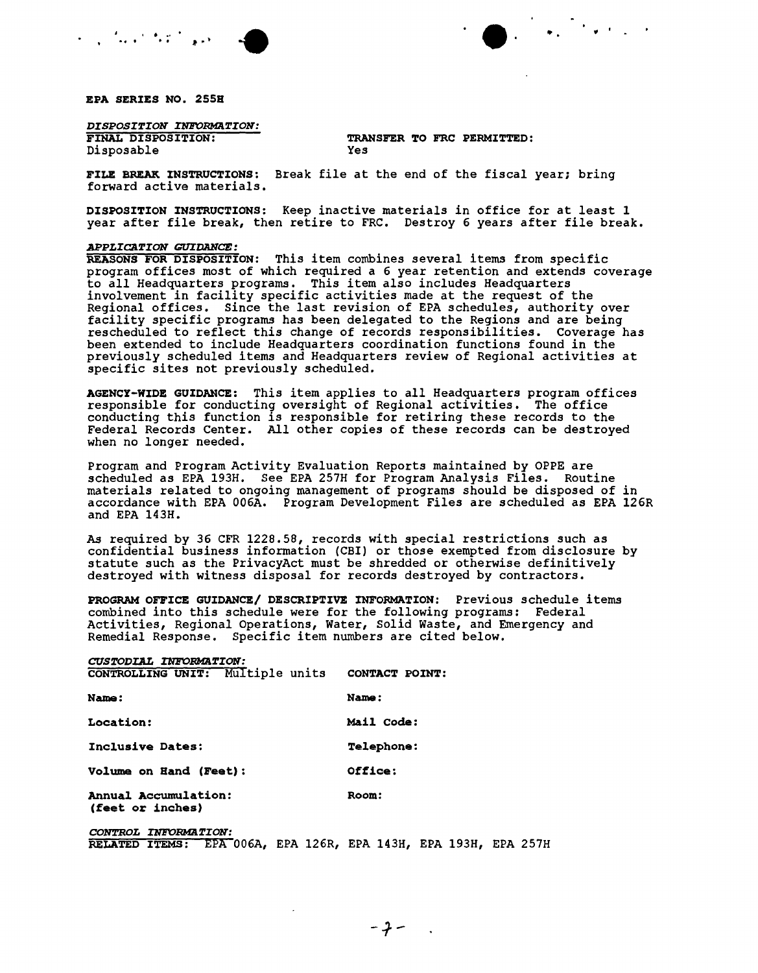

# *DISPOSITION INFORMATION:*<br>FINAL DISPOSITION:

Disposable

TRANSFER TO FRC PERMITTED:<br>Yes

FILE BREAK INSTRUCTIONS: Break *file* at the end of the fiscal year; *bring* forward active materials.

DISPOSITION INSTRUCTIONS: Keep inactive materials *in* office for at least 1 year after file break, then retire to FRC. Destroy 6 years after file break.

. .' .. . **.. ' ...** <sup>t</sup> •>

#### *APPLICATION GUIDANCE:*

REASONS FOR DISPOSITION: *This* item *combines* several *items* from *specific* program offices most of which *required* a 6 year retention and extends coverage to all Headquarters programs. This item also includes Headquarters involvement *in* facility specific activities made at the request of the Regional offices. *Since* the last revision of EPA schedules, authority over facility specific programs has been delegated to the Regions and are being rescheduled to reflect this change of records *responsibilities.* Coverage has been extended to include Headquarters coordination functions found *in* the previously scheduled *items* and Headquarters review of Regional *activities* at specific *sites* not previously scheduled.

AGENCY-WIDE GUIDANCE: This *item* applies to all Headquarters program offices responsible for conducting oversight of Regional activities. The office conducting this function *is* responsible for *retiring* these records to the Federal Records Center. All other copies of these records can be destroyed when no longer needed.

Program and Program Activity Evaluation Reports maintained by OPPE are scheduled as EPA 193H. See EPA 257H for Program Analysis Files. *Routine* materials related to ongoing management of programs should be disposed of *in* accordance with EPA 006A. Program Development *Files* are scheduled as EPA 126R and EPA 143H.

As required by 36 CFR 1228.58, records with special *restrictions* such as confidential business *information* (CBl) or those exempted from disclosure by statute such as the PrivacyAct must be shredded or otherwise *definitively* destroyed with witness disposal for records destroyed by contractors.

PROGRAM OFFICE GUIDANCE/ DESCRIPTIVE INFORMATION: Previous schedule items combined into *this* schedule were for the following programs: Federal Activities, Regional Operations, Water, Solid Waste, and Emergency and *Remedial* Response. *Specific item* numbers are cited below.

## *CUSTODIAI. INFORMaTION:*

| <b>CONTROLLING UNIT:</b> Multiple units         | CONTACT POINT:    |
|-------------------------------------------------|-------------------|
| <b>Name:</b>                                    | Name:             |
| <b>Location:</b>                                | Mail Code:        |
| Inclusive Dates:                                | <b>Telephone:</b> |
| <b>Volume on Hand (Feet):</b>                   | Office:           |
| <b>Annual Accumulation:</b><br>(feet or inches) | Room:             |
| CONTROL INFORMATION:                            |                   |

RELATED ITEMS: EPA 006A, EPA 126R, EPA 143H, EPA 193H, EPA 257H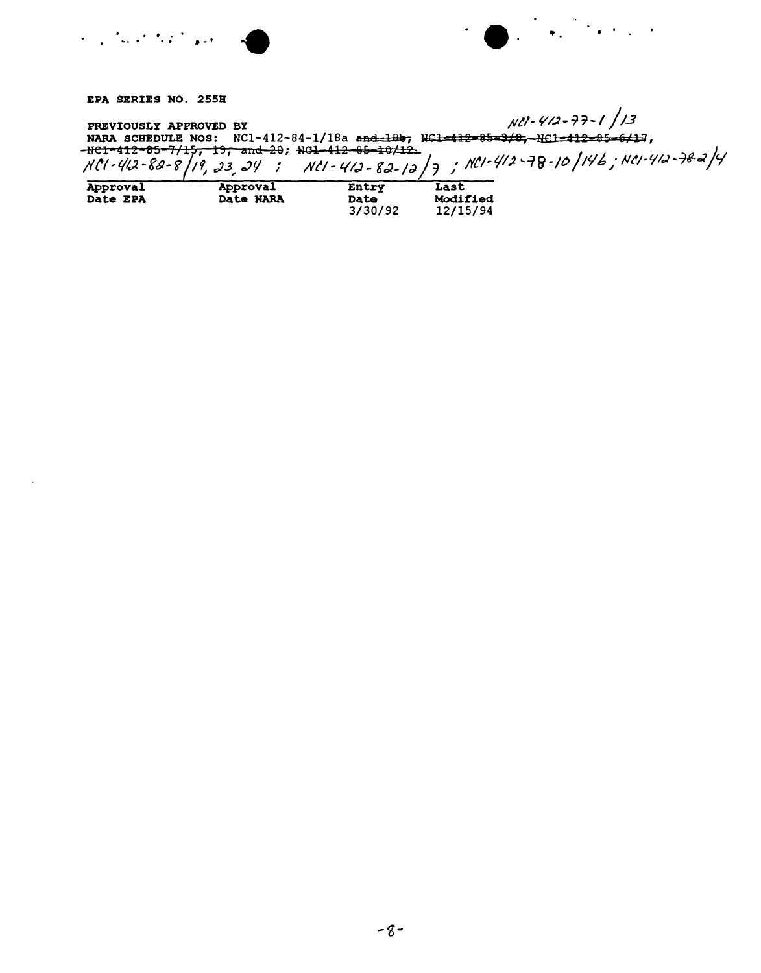EPA SERIES NO. 255H

PREVIOUSLY APPROVED BY<br>NARA SCHEDULE NOS: NC1-412-84-1/18a and 19b, N<del>C1-412-85-3/8, NC1-412-85-6/1</del>7,  $-$ <del>NC1-412-85-7/15, 19, and 2</del>0; NG1-41<del>2-85-10/12</del><br>NCl - 412-85-7/15, 19, and 20; NG1-412-85-10/12

| Approval        | Approval         | Entry   | Last     |
|-----------------|------------------|---------|----------|
| <b>Date EPA</b> | <b>Date NARA</b> | Date    | Modified |
|                 |                  | 3/30/92 | 12/15/94 |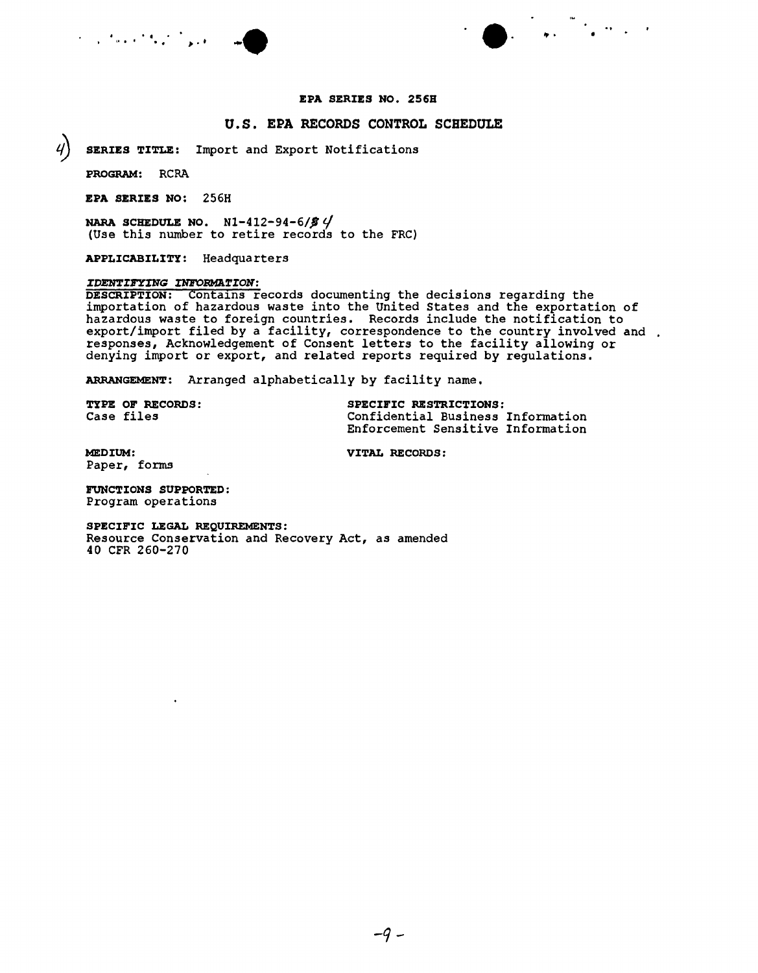



#### EPA SERIES NO. 256B

#### u. S. EPA RECORDS CONTROL SCHEDULE

SERIES TITLE: Import and Export Notifications

PROGRAM: RCRA

EPA SERIES NO: 256H

NARA SCHEDULE NO.  $N1-412-94-6/59$ (Use this number to retire records to the FRC)

APPLICABILITY: Headquarters

#### *IDENTIFYING INFOmfAI'ION:*

DESCRIPTION: Contains records documenting the decisions regarding the importation of hazardous waste into the united States and the exportation of hazardous waste to foreign countries. Records include the notification to export/import filed by a facility, correspondence to the country involved and responses, Acknowledgement of Consent letters to the facility allowing or denying import or export, and related reports required by regulations.

ARRANGEMENT: Arranged alphabetically by facility name.

TYPE OF RECORDS: SPECIFIC RESTRICTIONS: Case files Confidential Business Information Enforcement Sensitive Information

MEDIUM: VITAL RECORDS: Paper, forms

FUNCTIONS SUPPORTED: Program operations

 $\ddot{\phantom{a}}$ 

SPECIFIC LEGAL REQUIREMENTS: Resource Conservation and Recovery Act, as amended 40 CFR 260-270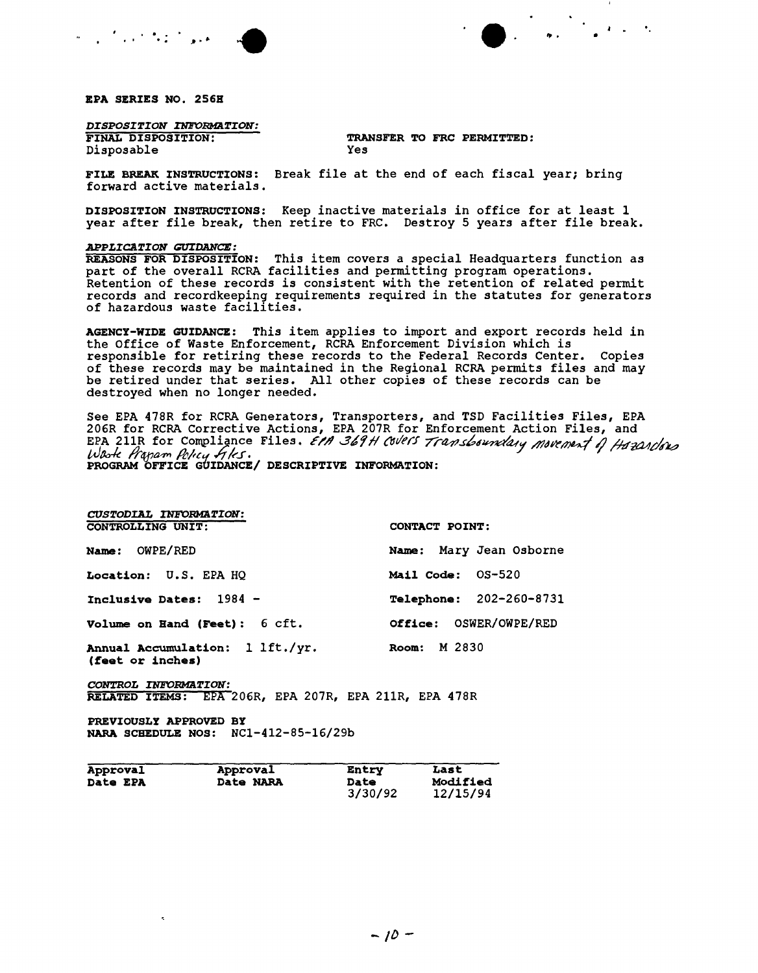

EPA SERIES NO. 256H

DISPOSITION INFORMATION:

FINAL DISPOSITION: Disposable

TRANSFER TO FRC PERMITTED: Yes

FILE BREAK INSTRUCTIONS: Break file at the end of each fiscal year; bring forward active materials.

DISPOSITION INSTRUCTIONS: Keep inactive materials in office for at least 1 year after file break, then retire to FRC. Destroy 5 years after file break.

#### APPLICATION GUIDANCE:

REASONS FOR DISPOSITION: This item covers a special Headquarters function as part of the overall RCRA facilities and permitting program operations. Retention of these records is consistent with the retention of related permit records and recordkeeping requirements required in the statutes for generators<br>of hazardous waste facilities.

AGENCY-WIDE GUIDANCE: This item applies to import and export records held in the Office of Waste Enforcement, RCRA Enforcement Division which is responsible for retiring these records to the Federal Records Center. Copies of these records may be maintained in the Regional RCRA permits files and may be retired under that series. All other copies of these records can be destroyed when no longer needed.

See EPA 478R for RCRA Generators, Transporters, and TSD Facilities Files, EPA<br>206R for RCRA Corrective Actions, EPA 207R for Enforcement Action Files, and<br>EPA 211R for Compliance Files. EPA 369H Covers Transboundary Moveme West Hapam Pelicy Files.<br>PROGRAM OFFICE GUIDANCE/ DESCRIPTIVE INFORMATION:

| <b>CUSTODIAL INFORMATION:</b>                       |                        |                         |
|-----------------------------------------------------|------------------------|-------------------------|
| CONTROLLING UNIT:                                   | CONTACT POINT:         |                         |
| <b>Name: OWPE/RED</b>                               |                        | Name: Mary Jean Osborne |
| <b>Location: U.S. EPA HQ</b>                        | Mail Code: 0S-520      |                         |
| Inclusive Dates: $1984 -$                           |                        | Telephone: 202-260-8731 |
| Volume on Hand (Feet): 6 cft.                       | Office: OSWER/OWPE/RED |                         |
| Annual Accumulation: 1 lft./yr.<br>(feet or inches) | Room: M 2830           |                         |

CONTROL INFORMATION: RELATED ITEMS: EPA 206R, EPA 207R, EPA 211R, EPA 478R

PREVIOUSLY APPROVED BY NARA SCHEDULE NOS: NC1-412-85-16/29b

| Approval        | Approval         | Entry       | Last     |
|-----------------|------------------|-------------|----------|
| <b>Date EPA</b> | <b>Date NARA</b> | <b>Date</b> | Modified |
|                 |                  | 3/30/92     | 12/15/94 |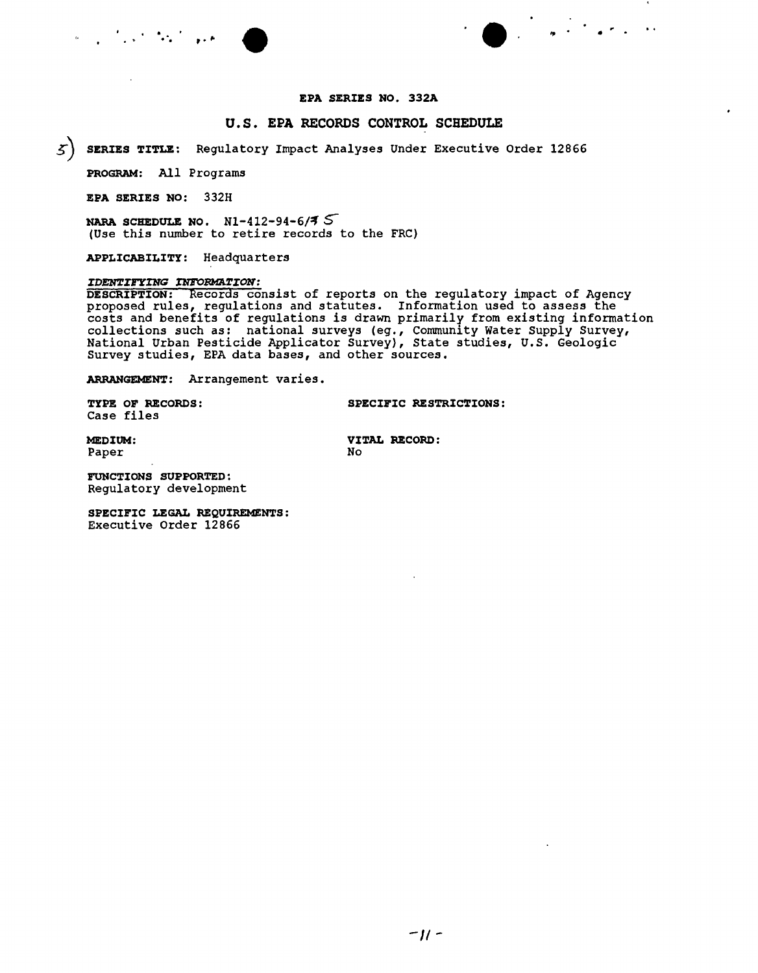



#### EPA SERIES NO. 332A

#### u.s. EPA RECORDS CONTROL SCHEDULE

~) SERIES TITLE: Regulatory Impact Analyses Under Executive Order 12866

PROGRAM: All Programs

EPA SERIES NO: 332H

NARA SCHEDULE NO.  $N1-412-94-6/7$ (Use this number to retire records to the FRC)

APPLICABILITY: Headquarters

#### *IDENTI1!YING INFORMATION:*

DESCRIPTION: Records consist of reports on the regulatory impact of Agency proposed rules, regulations and statutes. Information used to assess the costs and benefits of regulations is drawn primarily from existing information collections such as: national surveys (eg., community Water Supply Survey, National Urban Pesticide Applicator Survey), State studies, U.S. Geologic Survey studies, EPA data bases, and other sources.

ARRANGEMENT: Arrangement varies.

Case files

TYPE OF RECORDS: SPECIFIC RESTRICTIONS:

Paper No. 2016

MEDIUM: VITAL RECORD:

FUNCTIONS SUPPORTED: Regulatory development

SPECIFIC LEGAL REQUIREMENTS: Executive Order 12866